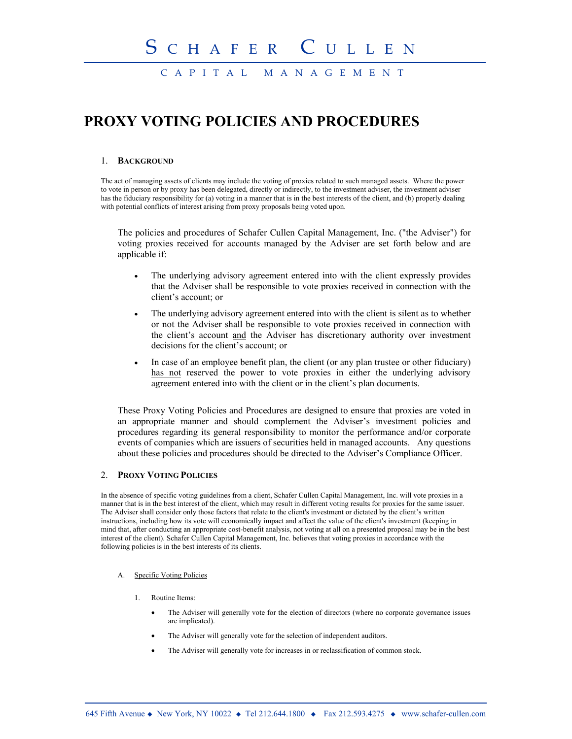CAPITAL MANAGEMENT

# **PROXY VOTING POLICIES AND PROCEDURES**

#### 1. **BACKGROUND**

The act of managing assets of clients may include the voting of proxies related to such managed assets. Where the power to vote in person or by proxy has been delegated, directly or indirectly, to the investment adviser, the investment adviser has the fiduciary responsibility for (a) voting in a manner that is in the best interests of the client, and (b) properly dealing with potential conflicts of interest arising from proxy proposals being voted upon.

The policies and procedures of Schafer Cullen Capital Management, Inc. ("the Adviser") for voting proxies received for accounts managed by the Adviser are set forth below and are applicable if:

- The underlying advisory agreement entered into with the client expressly provides that the Adviser shall be responsible to vote proxies received in connection with the client's account; or
- The underlying advisory agreement entered into with the client is silent as to whether or not the Adviser shall be responsible to vote proxies received in connection with the client's account and the Adviser has discretionary authority over investment decisions for the client's account; or
- In case of an employee benefit plan, the client (or any plan trustee or other fiduciary) has not reserved the power to vote proxies in either the underlying advisory agreement entered into with the client or in the client's plan documents.

These Proxy Voting Policies and Procedures are designed to ensure that proxies are voted in an appropriate manner and should complement the Adviser's investment policies and procedures regarding its general responsibility to monitor the performance and/or corporate events of companies which are issuers of securities held in managed accounts. Any questions about these policies and procedures should be directed to the Adviser's Compliance Officer.

### 2. **PROXY VOTING POLICIES**

In the absence of specific voting guidelines from a client, Schafer Cullen Capital Management, Inc. will vote proxies in a manner that is in the best interest of the client, which may result in different voting results for proxies for the same issuer. The Adviser shall consider only those factors that relate to the client's investment or dictated by the client's written instructions, including how its vote will economically impact and affect the value of the client's investment (keeping in mind that, after conducting an appropriate cost-benefit analysis, not voting at all on a presented proposal may be in the best interest of the client). Schafer Cullen Capital Management, Inc. believes that voting proxies in accordance with the following policies is in the best interests of its clients.

#### A. Specific Voting Policies

- 1. Routine Items:
	- The Adviser will generally vote for the election of directors (where no corporate governance issues are implicated).
	- The Adviser will generally vote for the selection of independent auditors.
	- The Adviser will generally vote for increases in or reclassification of common stock.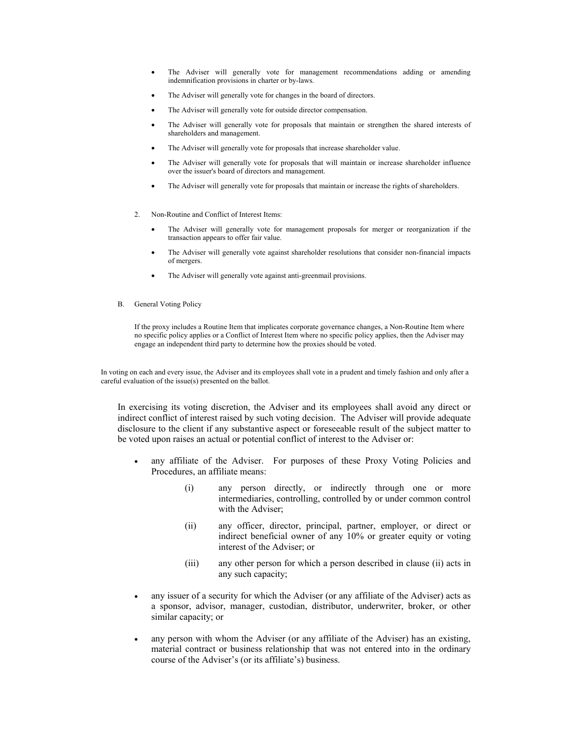- The Adviser will generally vote for management recommendations adding or amending indemnification provisions in charter or by-laws.
- The Adviser will generally vote for changes in the board of directors.
- The Adviser will generally vote for outside director compensation.
- The Adviser will generally vote for proposals that maintain or strengthen the shared interests of shareholders and management.
- The Adviser will generally vote for proposals that increase shareholder value.
- The Adviser will generally vote for proposals that will maintain or increase shareholder influence over the issuer's board of directors and management.
- The Adviser will generally vote for proposals that maintain or increase the rights of shareholders.
- 2. Non-Routine and Conflict of Interest Items:
	- The Adviser will generally vote for management proposals for merger or reorganization if the transaction appears to offer fair value.
	- The Adviser will generally vote against shareholder resolutions that consider non-financial impacts of mergers.
	- The Adviser will generally vote against anti-greenmail provisions.
- B. General Voting Policy

If the proxy includes a Routine Item that implicates corporate governance changes, a Non-Routine Item where no specific policy applies or a Conflict of Interest Item where no specific policy applies, then the Adviser may engage an independent third party to determine how the proxies should be voted.

In voting on each and every issue, the Adviser and its employees shall vote in a prudent and timely fashion and only after a careful evaluation of the issue(s) presented on the ballot.

In exercising its voting discretion, the Adviser and its employees shall avoid any direct or indirect conflict of interest raised by such voting decision. The Adviser will provide adequate disclosure to the client if any substantive aspect or foreseeable result of the subject matter to be voted upon raises an actual or potential conflict of interest to the Adviser or:

- any affiliate of the Adviser. For purposes of these Proxy Voting Policies and Procedures, an affiliate means:
	- (i) any person directly, or indirectly through one or more intermediaries, controlling, controlled by or under common control with the Adviser;
	- (ii) any officer, director, principal, partner, employer, or direct or indirect beneficial owner of any 10% or greater equity or voting interest of the Adviser; or
	- (iii) any other person for which a person described in clause (ii) acts in any such capacity;
- any issuer of a security for which the Adviser (or any affiliate of the Adviser) acts as a sponsor, advisor, manager, custodian, distributor, underwriter, broker, or other similar capacity; or
- any person with whom the Adviser (or any affiliate of the Adviser) has an existing, material contract or business relationship that was not entered into in the ordinary course of the Adviser's (or its affiliate's) business.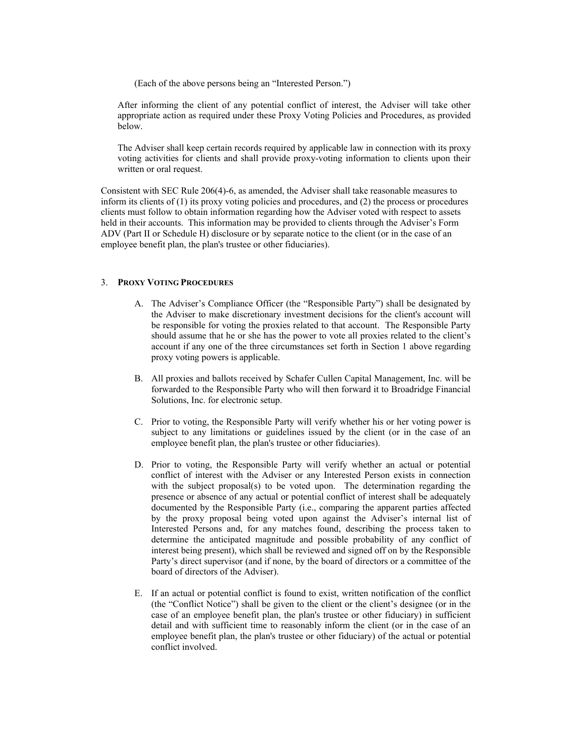(Each of the above persons being an "Interested Person.")

After informing the client of any potential conflict of interest, the Adviser will take other appropriate action as required under these Proxy Voting Policies and Procedures, as provided below.

The Adviser shall keep certain records required by applicable law in connection with its proxy voting activities for clients and shall provide proxy-voting information to clients upon their written or oral request.

Consistent with SEC Rule 206(4)-6, as amended, the Adviser shall take reasonable measures to inform its clients of (1) its proxy voting policies and procedures, and (2) the process or procedures clients must follow to obtain information regarding how the Adviser voted with respect to assets held in their accounts. This information may be provided to clients through the Adviser's Form ADV (Part II or Schedule H) disclosure or by separate notice to the client (or in the case of an employee benefit plan, the plan's trustee or other fiduciaries).

## 3. **PROXY VOTING PROCEDURES**

- A. The Adviser's Compliance Officer (the "Responsible Party") shall be designated by the Adviser to make discretionary investment decisions for the client's account will be responsible for voting the proxies related to that account. The Responsible Party should assume that he or she has the power to vote all proxies related to the client's account if any one of the three circumstances set forth in Section 1 above regarding proxy voting powers is applicable.
- B. All proxies and ballots received by Schafer Cullen Capital Management, Inc. will be forwarded to the Responsible Party who will then forward it to Broadridge Financial Solutions, Inc. for electronic setup.
- C. Prior to voting, the Responsible Party will verify whether his or her voting power is subject to any limitations or guidelines issued by the client (or in the case of an employee benefit plan, the plan's trustee or other fiduciaries).
- D. Prior to voting, the Responsible Party will verify whether an actual or potential conflict of interest with the Adviser or any Interested Person exists in connection with the subject proposal(s) to be voted upon. The determination regarding the presence or absence of any actual or potential conflict of interest shall be adequately documented by the Responsible Party (i.e., comparing the apparent parties affected by the proxy proposal being voted upon against the Adviser's internal list of Interested Persons and, for any matches found, describing the process taken to determine the anticipated magnitude and possible probability of any conflict of interest being present), which shall be reviewed and signed off on by the Responsible Party's direct supervisor (and if none, by the board of directors or a committee of the board of directors of the Adviser).
- E. If an actual or potential conflict is found to exist, written notification of the conflict (the "Conflict Notice") shall be given to the client or the client's designee (or in the case of an employee benefit plan, the plan's trustee or other fiduciary) in sufficient detail and with sufficient time to reasonably inform the client (or in the case of an employee benefit plan, the plan's trustee or other fiduciary) of the actual or potential conflict involved.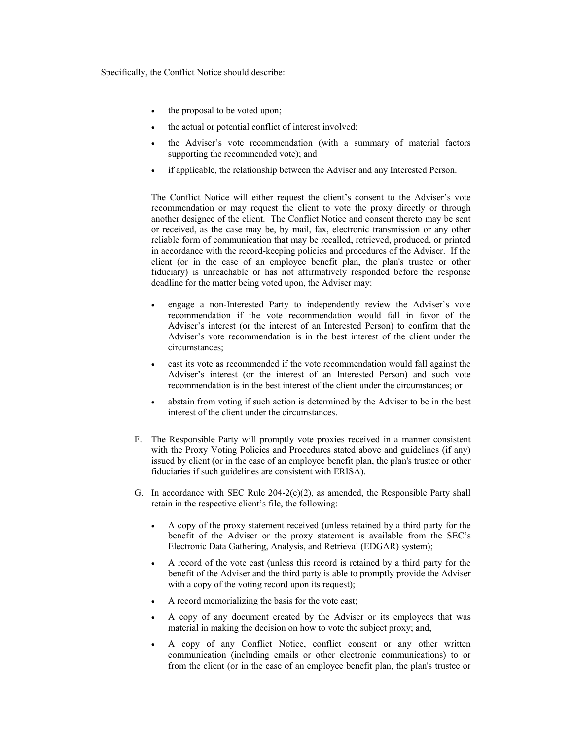Specifically, the Conflict Notice should describe:

- the proposal to be voted upon;
- the actual or potential conflict of interest involved;
- the Adviser's vote recommendation (with a summary of material factors supporting the recommended vote); and
- if applicable, the relationship between the Adviser and any Interested Person.

The Conflict Notice will either request the client's consent to the Adviser's vote recommendation or may request the client to vote the proxy directly or through another designee of the client. The Conflict Notice and consent thereto may be sent or received, as the case may be, by mail, fax, electronic transmission or any other reliable form of communication that may be recalled, retrieved, produced, or printed in accordance with the record-keeping policies and procedures of the Adviser. If the client (or in the case of an employee benefit plan, the plan's trustee or other fiduciary) is unreachable or has not affirmatively responded before the response deadline for the matter being voted upon, the Adviser may:

- x engage a non-Interested Party to independently review the Adviser's vote recommendation if the vote recommendation would fall in favor of the Adviser's interest (or the interest of an Interested Person) to confirm that the Adviser's vote recommendation is in the best interest of the client under the circumstances;
- cast its vote as recommended if the vote recommendation would fall against the Adviser's interest (or the interest of an Interested Person) and such vote recommendation is in the best interest of the client under the circumstances; or
- abstain from voting if such action is determined by the Adviser to be in the best interest of the client under the circumstances.
- F. The Responsible Party will promptly vote proxies received in a manner consistent with the Proxy Voting Policies and Procedures stated above and guidelines (if any) issued by client (or in the case of an employee benefit plan, the plan's trustee or other fiduciaries if such guidelines are consistent with ERISA).
- G. In accordance with SEC Rule  $204-2(c)(2)$ , as amended, the Responsible Party shall retain in the respective client's file, the following:
	- x A copy of the proxy statement received (unless retained by a third party for the benefit of the Adviser or the proxy statement is available from the SEC's Electronic Data Gathering, Analysis, and Retrieval (EDGAR) system);
	- A record of the vote cast (unless this record is retained by a third party for the benefit of the Adviser and the third party is able to promptly provide the Adviser with a copy of the voting record upon its request);
	- A record memorializing the basis for the vote cast;
	- A copy of any document created by the Adviser or its employees that was material in making the decision on how to vote the subject proxy; and,
	- A copy of any Conflict Notice, conflict consent or any other written communication (including emails or other electronic communications) to or from the client (or in the case of an employee benefit plan, the plan's trustee or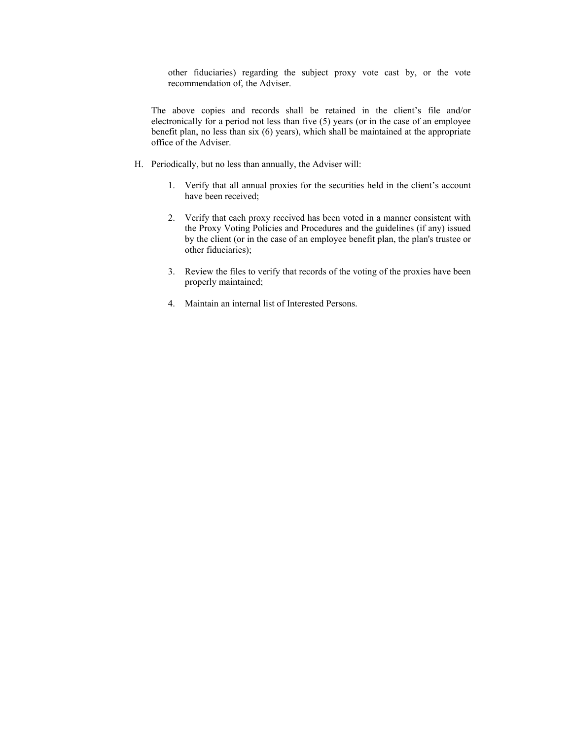other fiduciaries) regarding the subject proxy vote cast by, or the vote recommendation of, the Adviser.

The above copies and records shall be retained in the client's file and/or electronically for a period not less than five (5) years (or in the case of an employee benefit plan, no less than six (6) years), which shall be maintained at the appropriate office of the Adviser.

- H. Periodically, but no less than annually, the Adviser will:
	- 1. Verify that all annual proxies for the securities held in the client's account have been received;
	- 2. Verify that each proxy received has been voted in a manner consistent with the Proxy Voting Policies and Procedures and the guidelines (if any) issued by the client (or in the case of an employee benefit plan, the plan's trustee or other fiduciaries);
	- 3. Review the files to verify that records of the voting of the proxies have been properly maintained;
	- 4. Maintain an internal list of Interested Persons.